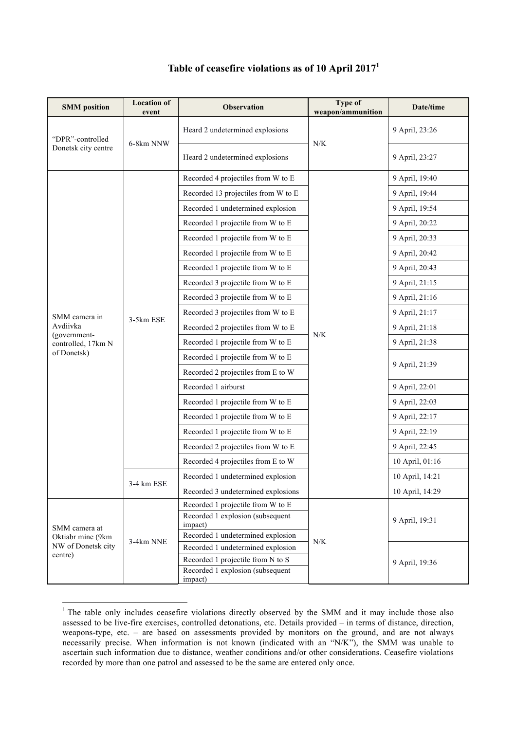| <b>SMM</b> position                                                 | <b>Location of</b><br>event | <b>Observation</b>                          | Type of<br>weapon/ammunition | Date/time       |
|---------------------------------------------------------------------|-----------------------------|---------------------------------------------|------------------------------|-----------------|
| "DPR"-controlled<br>Donetsk city centre                             | 6-8km NNW                   | Heard 2 undetermined explosions             | $N\!/\!K$                    | 9 April, 23:26  |
|                                                                     |                             | Heard 2 undetermined explosions             |                              | 9 April, 23:27  |
|                                                                     |                             | Recorded 4 projectiles from W to E          |                              | 9 April, 19:40  |
|                                                                     |                             | Recorded 13 projectiles from W to E         |                              | 9 April, 19:44  |
|                                                                     |                             | Recorded 1 undetermined explosion           |                              | 9 April, 19:54  |
|                                                                     |                             | Recorded 1 projectile from W to E           |                              | 9 April, 20:22  |
|                                                                     |                             | Recorded 1 projectile from W to E           |                              | 9 April, 20:33  |
|                                                                     |                             | Recorded 1 projectile from W to E           |                              | 9 April, 20:42  |
|                                                                     |                             | Recorded 1 projectile from W to E           |                              | 9 April, 20:43  |
|                                                                     |                             | Recorded 3 projectile from W to E           | N/K                          | 9 April, 21:15  |
|                                                                     | 3-5km ESE                   | Recorded 3 projectile from W to E           |                              | 9 April, 21:16  |
| SMM camera in                                                       |                             | Recorded 3 projectiles from W to E          |                              | 9 April, 21:17  |
| Avdiivka                                                            |                             | Recorded 2 projectiles from W to E          |                              | 9 April, 21:18  |
| (government-<br>controlled, 17km N                                  |                             | Recorded 1 projectile from W to E           |                              | 9 April, 21:38  |
| of Donetsk)                                                         |                             | Recorded 1 projectile from W to E           |                              |                 |
|                                                                     |                             | Recorded 2 projectiles from E to W          |                              | 9 April, 21:39  |
|                                                                     |                             | Recorded 1 airburst                         |                              | 9 April, 22:01  |
|                                                                     |                             | Recorded 1 projectile from W to E           |                              | 9 April, 22:03  |
|                                                                     |                             | Recorded 1 projectile from W to E           |                              | 9 April, 22:17  |
|                                                                     |                             | Recorded 1 projectile from W to E           |                              | 9 April, 22:19  |
|                                                                     |                             | Recorded 2 projectiles from W to E          |                              | 9 April, 22:45  |
|                                                                     |                             | Recorded 4 projectiles from E to W          |                              | 10 April, 01:16 |
|                                                                     | 3-4 km ESE                  | Recorded 1 undetermined explosion           |                              | 10 April, 14:21 |
|                                                                     |                             | Recorded 3 undetermined explosions          |                              | 10 April, 14:29 |
| SMM camera at<br>Oktiabr mine (9km<br>NW of Donetsk city<br>centre) | 3-4km NNE                   | Recorded 1 projectile from W to E           | N/K                          |                 |
|                                                                     |                             | Recorded 1 explosion (subsequent<br>impact) |                              | 9 April, 19:31  |
|                                                                     |                             | Recorded 1 undetermined explosion           |                              |                 |
|                                                                     |                             | Recorded 1 undetermined explosion           |                              |                 |
|                                                                     |                             | Recorded 1 projectile from N to S           |                              | 9 April, 19:36  |
|                                                                     |                             | Recorded 1 explosion (subsequent<br>impact) |                              |                 |

## **Table of ceasefire violations as of 10 April 2017<sup>1</sup>**

<sup>&</sup>lt;sup>1</sup> The table only includes ceasefire violations directly observed by the SMM and it may include those also assessed to be live-fire exercises, controlled detonations, etc. Details provided – in terms of distance, direction, weapons-type, etc. – are based on assessments provided by monitors on the ground, and are not always necessarily precise. When information is not known (indicated with an "N/K"), the SMM was unable to ascertain such information due to distance, weather conditions and/or other considerations. Ceasefire violations recorded by more than one patrol and assessed to be the same are entered only once.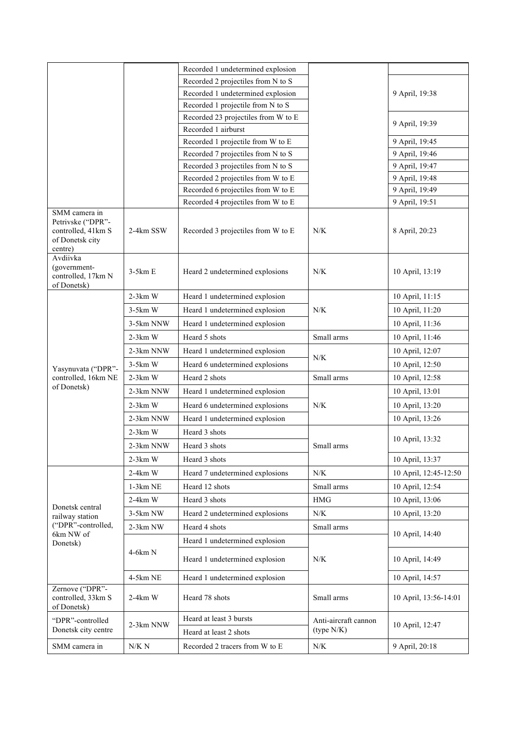|                                                                                        |            | Recorded 1 undetermined explosion   |                                    |                       |
|----------------------------------------------------------------------------------------|------------|-------------------------------------|------------------------------------|-----------------------|
|                                                                                        |            | Recorded 2 projectiles from N to S  |                                    |                       |
|                                                                                        |            | Recorded 1 undetermined explosion   |                                    | 9 April, 19:38        |
|                                                                                        |            | Recorded 1 projectile from N to S   |                                    |                       |
|                                                                                        |            | Recorded 23 projectiles from W to E |                                    | 9 April, 19:39        |
|                                                                                        |            | Recorded 1 airburst                 |                                    |                       |
|                                                                                        |            | Recorded 1 projectile from W to E   |                                    | 9 April, 19:45        |
|                                                                                        |            | Recorded 7 projectiles from N to S  |                                    | 9 April, 19:46        |
|                                                                                        |            | Recorded 3 projectiles from N to S  |                                    | 9 April, 19:47        |
|                                                                                        |            | Recorded 2 projectiles from W to E  |                                    | 9 April, 19:48        |
|                                                                                        |            | Recorded 6 projectiles from W to E  |                                    | 9 April, 19:49        |
|                                                                                        |            | Recorded 4 projectiles from W to E  |                                    | 9 April, 19:51        |
| SMM camera in<br>Petrivske ("DPR"-<br>controlled, 41km S<br>of Donetsk city<br>centre) | 2-4km SSW  | Recorded 3 projectiles from W to E  | N/K                                | 8 April, 20:23        |
| Avdiivka<br>(government-<br>controlled, 17km N<br>of Donetsk)                          | $3-5km E$  | Heard 2 undetermined explosions     | N/K                                | 10 April, 13:19       |
|                                                                                        | $2-3km$ W  | Heard 1 undetermined explosion      |                                    | 10 April, 11:15       |
|                                                                                        | $3-5km$ W  | Heard 1 undetermined explosion      | N/K                                | 10 April, 11:20       |
|                                                                                        | 3-5km NNW  | Heard 1 undetermined explosion      |                                    | 10 April, 11:36       |
|                                                                                        | $2-3km$ W  | Heard 5 shots                       | Small arms                         | 10 April, 11:46       |
|                                                                                        | 2-3km NNW  | Heard 1 undetermined explosion      |                                    | 10 April, 12:07       |
|                                                                                        | $3-5km$ W  | Heard 6 undetermined explosions     | N/K                                | 10 April, 12:50       |
| Yasynuvata ("DPR"-<br>controlled, 16km NE                                              | $2-3km$ W  | Heard 2 shots                       | Small arms                         | 10 April, 12:58       |
| of Donetsk)                                                                            | 2-3km NNW  | Heard 1 undetermined explosion      |                                    | 10 April, 13:01       |
|                                                                                        | $2-3km$ W  | Heard 6 undetermined explosions     | N/K                                | 10 April, 13:20       |
|                                                                                        | 2-3km NNW  | Heard 1 undetermined explosion      |                                    | 10 April, 13:26       |
|                                                                                        | $2-3km$ W  | Heard 3 shots                       | Small arms                         | 10 April, 13:32       |
|                                                                                        | 2-3km NNW  | Heard 3 shots                       |                                    |                       |
|                                                                                        | $2-3km$ W  | Heard 3 shots                       |                                    | 10 April, 13:37       |
|                                                                                        | $2-4km$ W  | Heard 7 undetermined explosions     | N/K                                | 10 April, 12:45-12:50 |
|                                                                                        | $1-3km$ NE | Heard 12 shots                      | Small arms                         | 10 April, 12:54       |
|                                                                                        | $2-4km$ W  | Heard 3 shots                       | <b>HMG</b>                         | 10 April, 13:06       |
| Donetsk central                                                                        | 3-5km NW   | Heard 2 undetermined explosions     | ${\rm N/K}$                        | 10 April, 13:20       |
| railway station<br>("DPR"-controlled,                                                  | $2-3km$ NW | Heard 4 shots                       | Small arms                         |                       |
| 6km NW of<br>Donetsk)                                                                  | 4-6km N    | Heard 1 undetermined explosion      |                                    | 10 April, 14:40       |
|                                                                                        |            |                                     |                                    |                       |
|                                                                                        |            | Heard 1 undetermined explosion      | N/K                                | 10 April, 14:49       |
|                                                                                        | 4-5km NE   | Heard 1 undetermined explosion      |                                    | 10 April, 14:57       |
| Zernove ("DPR"-<br>controlled, 33km S<br>of Donetsk)                                   | $2-4km$ W  | Heard 78 shots                      | Small arms                         | 10 April, 13:56-14:01 |
| "DPR"-controlled                                                                       | 2-3km NNW  | Heard at least 3 bursts             | Anti-aircraft cannon<br>(type N/K) | 10 April, 12:47       |
| Donetsk city centre                                                                    |            | Heard at least 2 shots              |                                    |                       |
| SMM camera in                                                                          | $N/K\ N$   | Recorded 2 tracers from W to E      | N/K                                | 9 April, 20:18        |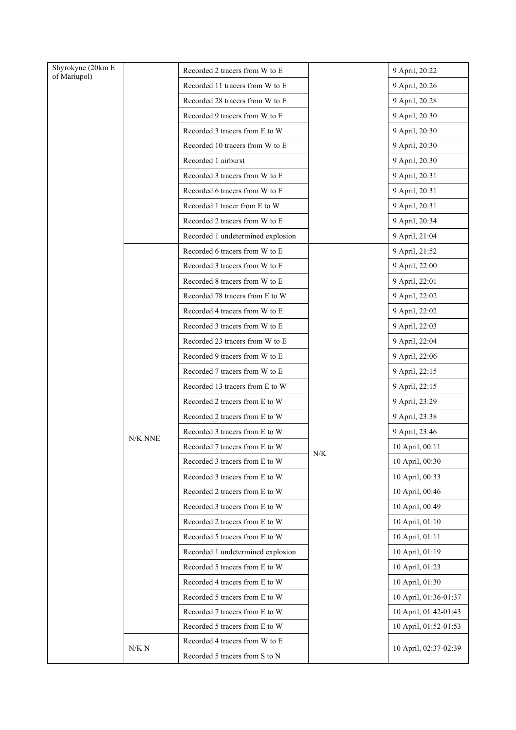| Shyrokyne (20km E<br>of Mariupol) |         | Recorded 2 tracers from W to E    |             | 9 April, 20:22        |
|-----------------------------------|---------|-----------------------------------|-------------|-----------------------|
|                                   |         | Recorded 11 tracers from W to E   |             | 9 April, 20:26        |
|                                   |         | Recorded 28 tracers from W to E   |             | 9 April, 20:28        |
|                                   |         | Recorded 9 tracers from W to E    |             | 9 April, 20:30        |
|                                   |         | Recorded 3 tracers from E to W    |             | 9 April, 20:30        |
|                                   |         | Recorded 10 tracers from W to E   |             | 9 April, 20:30        |
|                                   |         | Recorded 1 airburst               |             | 9 April, 20:30        |
|                                   |         | Recorded 3 tracers from W to E    |             | 9 April, 20:31        |
|                                   |         | Recorded 6 tracers from W to E    |             | 9 April, 20:31        |
|                                   |         | Recorded 1 tracer from E to W     |             | 9 April, 20:31        |
|                                   |         | Recorded 2 tracers from W to E    |             | 9 April, 20:34        |
|                                   |         | Recorded 1 undetermined explosion |             | 9 April, 21:04        |
|                                   |         | Recorded 6 tracers from W to E    |             | 9 April, 21:52        |
|                                   |         | Recorded 3 tracers from W to E    |             | 9 April, 22:00        |
|                                   |         | Recorded 8 tracers from W to E    |             | 9 April, 22:01        |
|                                   |         | Recorded 78 tracers from E to W   |             | 9 April, 22:02        |
|                                   |         | Recorded 4 tracers from W to E    |             | 9 April, 22:02        |
|                                   |         | Recorded 3 tracers from W to E    | ${\rm N/K}$ | 9 April, 22:03        |
|                                   | N/K NNE | Recorded 23 tracers from W to E   |             | 9 April, 22:04        |
|                                   |         | Recorded 9 tracers from W to E    |             | 9 April, 22:06        |
|                                   |         | Recorded 7 tracers from W to E    |             | 9 April, 22:15        |
|                                   |         | Recorded 13 tracers from E to W   |             | 9 April, 22:15        |
|                                   |         | Recorded 2 tracers from E to W    |             | 9 April, 23:29        |
|                                   |         | Recorded 2 tracers from E to W    |             | 9 April, 23:38        |
|                                   |         | Recorded 3 tracers from E to W    |             | 9 April, 23:46        |
|                                   |         | Recorded 7 tracers from E to W    |             | 10 April, 00:11       |
|                                   |         | Recorded 3 tracers from E to W    |             | 10 April, 00:30       |
|                                   |         | Recorded 3 tracers from E to W    |             | 10 April, 00:33       |
|                                   |         | Recorded 2 tracers from E to W    |             | 10 April, 00:46       |
|                                   |         | Recorded 3 tracers from E to W    |             | 10 April, 00:49       |
|                                   |         | Recorded 2 tracers from E to W    |             | 10 April, 01:10       |
|                                   |         | Recorded 5 tracers from E to W    |             | 10 April, 01:11       |
|                                   |         | Recorded 1 undetermined explosion |             | 10 April, 01:19       |
|                                   |         | Recorded 5 tracers from E to W    |             | 10 April, 01:23       |
|                                   |         | Recorded 4 tracers from E to W    |             | 10 April, 01:30       |
|                                   |         | Recorded 5 tracers from E to W    |             | 10 April, 01:36-01:37 |
|                                   |         | Recorded 7 tracers from E to W    |             | 10 April, 01:42-01:43 |
|                                   |         | Recorded 5 tracers from E to W    |             | 10 April, 01:52-01:53 |
|                                   | N/K N   | Recorded 4 tracers from W to E    |             | 10 April, 02:37-02:39 |
|                                   |         | Recorded 5 tracers from S to N    |             |                       |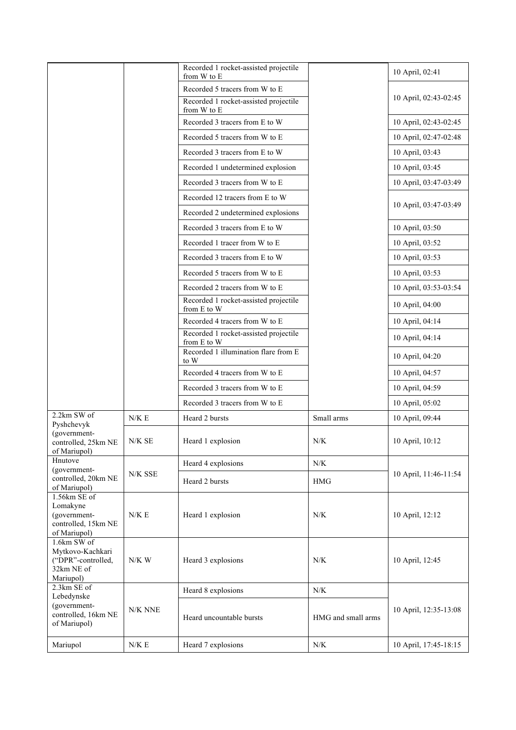|                                                                                  |         | Recorded 1 rocket-assisted projectile<br>from W to E                    |                    | 10 April, 02:41       |
|----------------------------------------------------------------------------------|---------|-------------------------------------------------------------------------|--------------------|-----------------------|
|                                                                                  |         | Recorded 5 tracers from W to E<br>Recorded 1 rocket-assisted projectile |                    | 10 April, 02:43-02:45 |
|                                                                                  |         | from W to E<br>Recorded 3 tracers from E to W                           |                    | 10 April, 02:43-02:45 |
|                                                                                  |         | Recorded 5 tracers from W to E                                          |                    | 10 April, 02:47-02:48 |
|                                                                                  |         | Recorded 3 tracers from E to W                                          |                    | 10 April, 03:43       |
|                                                                                  |         | Recorded 1 undetermined explosion                                       |                    | 10 April, 03:45       |
|                                                                                  |         | Recorded 3 tracers from W to E                                          |                    | 10 April, 03:47-03:49 |
|                                                                                  |         | Recorded 12 tracers from E to W                                         |                    |                       |
|                                                                                  |         | Recorded 2 undetermined explosions                                      |                    | 10 April, 03:47-03:49 |
|                                                                                  |         | Recorded 3 tracers from E to W                                          |                    | 10 April, 03:50       |
|                                                                                  |         | Recorded 1 tracer from W to E                                           |                    | 10 April, 03:52       |
|                                                                                  |         | Recorded 3 tracers from E to W                                          |                    | 10 April, 03:53       |
|                                                                                  |         | Recorded 5 tracers from W to E                                          |                    | 10 April, 03:53       |
|                                                                                  |         | Recorded 2 tracers from W to E                                          |                    | 10 April, 03:53-03:54 |
|                                                                                  |         | Recorded 1 rocket-assisted projectile<br>from E to W                    |                    | 10 April, 04:00       |
|                                                                                  |         | Recorded 4 tracers from W to E                                          |                    | 10 April, 04:14       |
|                                                                                  |         | Recorded 1 rocket-assisted projectile<br>from E to W                    |                    | 10 April, 04:14       |
|                                                                                  |         | Recorded 1 illumination flare from E<br>to W                            |                    | 10 April, 04:20       |
|                                                                                  |         | Recorded 4 tracers from W to E                                          |                    | 10 April, 04:57       |
|                                                                                  |         | Recorded 3 tracers from W to E                                          |                    | 10 April, 04:59       |
|                                                                                  |         | Recorded 3 tracers from W to E                                          |                    | 10 April, 05:02       |
| 2.2km SW of<br>Pyshchevyk                                                        | N/K E   | Heard 2 bursts                                                          | Small arms         | 10 April, 09:44       |
| (government-<br>controlled, 25km NE<br>of Mariupol)                              | N/KSE   | Heard 1 explosion                                                       | N/K                | 10 April, 10:12       |
| Hnutove<br>(government-                                                          |         | Heard 4 explosions                                                      | N/K                |                       |
| controlled, 20km NE<br>of Mariupol)                                              | N/K SSE | Heard 2 bursts                                                          | <b>HMG</b>         | 10 April, 11:46-11:54 |
| 1.56km SE of<br>Lomakyne<br>(government-<br>controlled, 15km NE<br>of Mariupol)  | N/K E   | Heard 1 explosion                                                       | N/K                | 10 April, 12:12       |
| 1.6km SW of<br>Mytkovo-Kachkari<br>("DPR"-controlled,<br>32km NE of<br>Mariupol) | $N/K$ W | Heard 3 explosions                                                      | N/K                | 10 April, 12:45       |
| 2.3km SE of<br>Lebedynske                                                        |         | Heard 8 explosions                                                      | N/K                |                       |
| (government-<br>controlled, 16km NE<br>of Mariupol)                              | N/K NNE | Heard uncountable bursts                                                | HMG and small arms | 10 April, 12:35-13:08 |
| Mariupol                                                                         | N/K E   | Heard 7 explosions                                                      | N/K                | 10 April, 17:45-18:15 |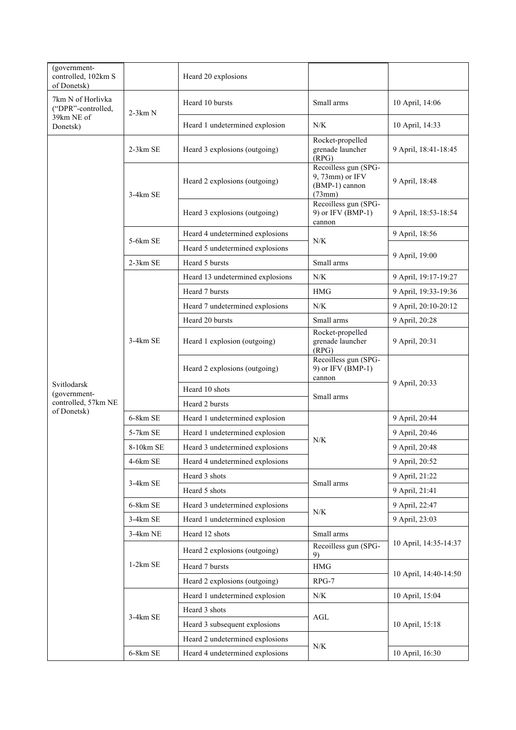| (government-<br>controlled, 102km S<br>of Donetsk)                |            | Heard 20 explosions              |                                                                     |                       |
|-------------------------------------------------------------------|------------|----------------------------------|---------------------------------------------------------------------|-----------------------|
| 7km N of Horlivka<br>("DPR"-controlled,<br>39km NE of<br>Donetsk) | $2-3km N$  | Heard 10 bursts                  | Small arms                                                          | 10 April, 14:06       |
|                                                                   |            | Heard 1 undetermined explosion   | N/K                                                                 | 10 April, 14:33       |
|                                                                   | $2-3km$ SE | Heard 3 explosions (outgoing)    | Rocket-propelled<br>grenade launcher<br>(RPG)                       | 9 April, 18:41-18:45  |
|                                                                   | $3-4km$ SE | Heard 2 explosions (outgoing)    | Recoilless gun (SPG-<br>9, 73mm) or IFV<br>(BMP-1) cannon<br>(73mm) | 9 April, 18:48        |
|                                                                   |            | Heard 3 explosions (outgoing)    | Recoilless gun (SPG-<br>9) or IFV (BMP-1)<br>cannon                 | 9 April, 18:53-18:54  |
|                                                                   | 5-6km SE   | Heard 4 undetermined explosions  | N/K                                                                 | 9 April, 18:56        |
|                                                                   |            | Heard 5 undetermined explosions  |                                                                     |                       |
|                                                                   | 2-3km SE   | Heard 5 bursts                   | Small arms                                                          | 9 April, 19:00        |
|                                                                   |            | Heard 13 undetermined explosions | N/K                                                                 | 9 April, 19:17-19:27  |
|                                                                   |            | Heard 7 bursts                   | <b>HMG</b>                                                          | 9 April, 19:33-19:36  |
|                                                                   |            | Heard 7 undetermined explosions  | N/K                                                                 | 9 April, 20:10-20:12  |
|                                                                   | $3-4km$ SE | Heard 20 bursts                  | Small arms                                                          | 9 April, 20:28        |
|                                                                   |            | Heard 1 explosion (outgoing)     | Rocket-propelled<br>grenade launcher<br>(RPG)                       | 9 April, 20:31        |
|                                                                   |            | Heard 2 explosions (outgoing)    | Recoilless gun (SPG-<br>9) or IFV (BMP-1)<br>cannon                 | 9 April, 20:33        |
| Svitlodarsk<br>(government-                                       |            | Heard 10 shots                   | Small arms                                                          |                       |
| controlled, 57km NE                                               |            | Heard 2 bursts                   |                                                                     |                       |
| of Donetsk)                                                       | 6-8km SE   | Heard 1 undetermined explosion   |                                                                     | 9 April, 20:44        |
|                                                                   | $5-7km$ SE | Heard 1 undetermined explosion   | N/K                                                                 | 9 April, 20:46        |
|                                                                   | 8-10km SE  | Heard 3 undetermined explosions  |                                                                     | 9 April, 20:48        |
|                                                                   | 4-6km SE   | Heard 4 undetermined explosions  |                                                                     | 9 April, 20:52        |
|                                                                   | 3-4km SE   | Heard 3 shots                    | Small arms                                                          | 9 April, 21:22        |
|                                                                   |            | Heard 5 shots                    |                                                                     | 9 April, 21:41        |
|                                                                   | 6-8km SE   | Heard 3 undetermined explosions  | ${\rm N/K}$                                                         | 9 April, 22:47        |
|                                                                   | 3-4km SE   | Heard 1 undetermined explosion   |                                                                     | 9 April, 23:03        |
|                                                                   | 3-4km NE   | Heard 12 shots                   | Small arms                                                          |                       |
|                                                                   | $1-2km$ SE | Heard 2 explosions (outgoing)    | Recoilless gun (SPG-<br>9)                                          | 10 April, 14:35-14:37 |
|                                                                   |            | Heard 7 bursts                   | $\rm HMG$                                                           | 10 April, 14:40-14:50 |
|                                                                   |            | Heard 2 explosions (outgoing)    | $RPG-7$                                                             |                       |
|                                                                   | 3-4km SE   | Heard 1 undetermined explosion   | ${\rm N/K}$                                                         | 10 April, 15:04       |
|                                                                   |            | Heard 3 shots                    | $\operatorname{AGL}$<br>N/K                                         | 10 April, 15:18       |
|                                                                   |            | Heard 3 subsequent explosions    |                                                                     |                       |
|                                                                   |            | Heard 2 undetermined explosions  |                                                                     |                       |
|                                                                   | 6-8km SE   | Heard 4 undetermined explosions  |                                                                     | 10 April, 16:30       |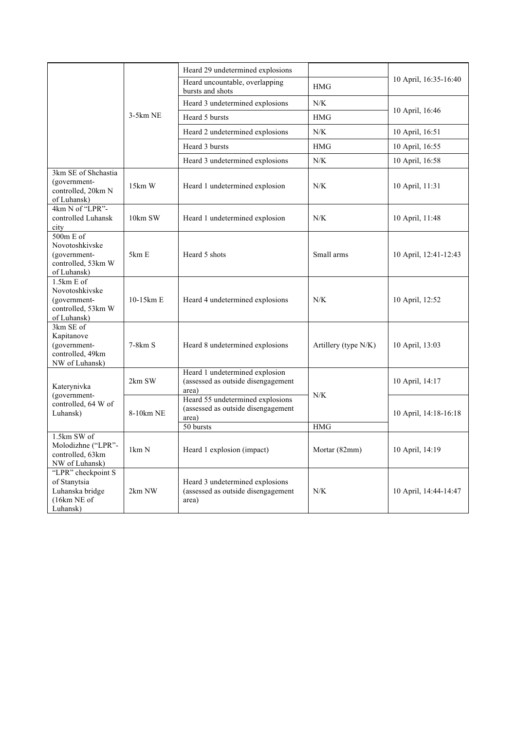|                                                                                   |            | Heard 29 undetermined explosions                                                             |                      | 10 April, 16:35-16:40 |
|-----------------------------------------------------------------------------------|------------|----------------------------------------------------------------------------------------------|----------------------|-----------------------|
|                                                                                   |            | Heard uncountable, overlapping<br>bursts and shots                                           | HMG                  |                       |
|                                                                                   |            | Heard 3 undetermined explosions                                                              | ${\rm N/K}$          | 10 April, 16:46       |
|                                                                                   | $3-5km$ NE | Heard 5 bursts                                                                               | <b>HMG</b>           |                       |
|                                                                                   |            | Heard 2 undetermined explosions                                                              | N/K                  | 10 April, 16:51       |
|                                                                                   |            | Heard 3 bursts                                                                               | <b>HMG</b>           | 10 April, 16:55       |
|                                                                                   |            | Heard 3 undetermined explosions                                                              | N/K                  | 10 April, 16:58       |
| 3km SE of Shchastia<br>(government-<br>controlled, 20km N<br>of Luhansk)          | 15km W     | Heard 1 undetermined explosion                                                               | N/K                  | 10 April, 11:31       |
| 4km N of "LPR"-<br>controlled Luhansk<br>city                                     | 10km SW    | Heard 1 undetermined explosion                                                               | N/K                  | 10 April, 11:48       |
| 500m E of<br>Novotoshkivske<br>(government-<br>controlled, 53km W<br>of Luhansk)  | 5km E      | Heard 5 shots                                                                                | Small arms           | 10 April, 12:41-12:43 |
| 1.5km E of<br>Novotoshkivske<br>(government-<br>controlled, 53km W<br>of Luhansk) | 10-15km E  | Heard 4 undetermined explosions                                                              | N/K                  | 10 April, 12:52       |
| 3km SE of<br>Kapitanove<br>(government-<br>controlled, 49km<br>NW of Luhansk)     | $7-8km S$  | Heard 8 undetermined explosions                                                              | Artillery (type N/K) | 10 April, 13:03       |
| Katerynivka<br>(government-<br>controlled, 64 W of<br>Luhansk)                    | 2km SW     | Heard 1 undetermined explosion<br>(assessed as outside disengagement<br>area)                | N/K<br><b>HMG</b>    | 10 April, 14:17       |
|                                                                                   | 8-10km NE  | Heard 55 undetermined explosions<br>(assessed as outside disengagement<br>area)<br>50 bursts |                      | 10 April, 14:18-16:18 |
| 1.5km SW of<br>Molodizhne ("LPR"-<br>controlled, 63km<br>NW of Luhansk)           | 1km N      | Heard 1 explosion (impact)                                                                   | Mortar (82mm)        | 10 April, 14:19       |
| "LPR" checkpoint S<br>of Stanytsia<br>Luhanska bridge<br>(16km NE of<br>Luhansk)  | 2km NW     | Heard 3 undetermined explosions<br>(assessed as outside disengagement<br>area)               | N/K                  | 10 April, 14:44-14:47 |